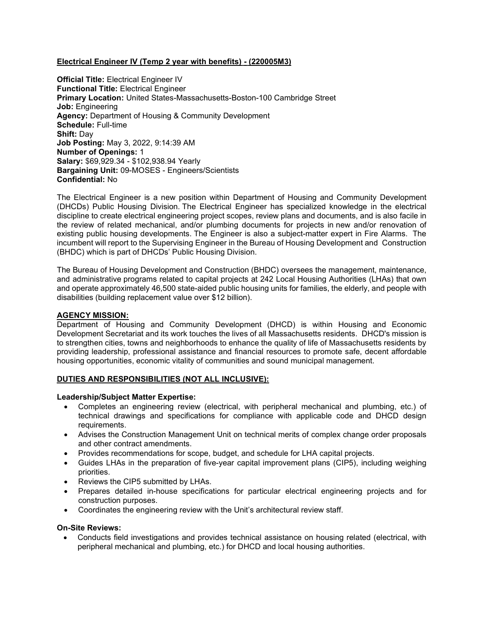# Electrical Engineer IV (Temp 2 year with benefits) - (220005M3)

**Official Title: Electrical Engineer IV** Functional Title: Electrical Engineer Primary Location: United States-Massachusetts-Boston-100 Cambridge Street Job: Engineering Agency: Department of Housing & Community Development Schedule: Full-time Shift: Day Job Posting: May 3, 2022, 9:14:39 AM Number of Openings: 1 Salary: \$69,929.34 - \$102,938.94 Yearly Bargaining Unit: 09-MOSES - Engineers/Scientists Confidential: No

The Electrical Engineer is a new position within Department of Housing and Community Development (DHCDs) Public Housing Division. The Electrical Engineer has specialized knowledge in the electrical discipline to create electrical engineering project scopes, review plans and documents, and is also facile in the review of related mechanical, and/or plumbing documents for projects in new and/or renovation of existing public housing developments. The Engineer is also a subject-matter expert in Fire Alarms. The incumbent will report to the Supervising Engineer in the Bureau of Housing Development and Construction (BHDC) which is part of DHCDs' Public Housing Division.

The Bureau of Housing Development and Construction (BHDC) oversees the management, maintenance, and administrative programs related to capital projects at 242 Local Housing Authorities (LHAs) that own and operate approximately 46,500 state-aided public housing units for families, the elderly, and people with disabilities (building replacement value over \$12 billion).

## AGENCY MISSION:

Department of Housing and Community Development (DHCD) is within Housing and Economic Development Secretariat and its work touches the lives of all Massachusetts residents. DHCD's mission is to strengthen cities, towns and neighborhoods to enhance the quality of life of Massachusetts residents by providing leadership, professional assistance and financial resources to promote safe, decent affordable housing opportunities, economic vitality of communities and sound municipal management.

## DUTIES AND RESPONSIBILITIES (NOT ALL INCLUSIVE):

#### Leadership/Subject Matter Expertise:

- Completes an engineering review (electrical, with peripheral mechanical and plumbing, etc.) of technical drawings and specifications for compliance with applicable code and DHCD design requirements.
- Advises the Construction Management Unit on technical merits of complex change order proposals and other contract amendments.
- Provides recommendations for scope, budget, and schedule for LHA capital projects.
- Guides LHAs in the preparation of five-year capital improvement plans (CIP5), including weighing priorities.
- Reviews the CIP5 submitted by LHAs.
- Prepares detailed in-house specifications for particular electrical engineering projects and for construction purposes.
- Coordinates the engineering review with the Unit's architectural review staff.

#### On-Site Reviews:

 Conducts field investigations and provides technical assistance on housing related (electrical, with peripheral mechanical and plumbing, etc.) for DHCD and local housing authorities.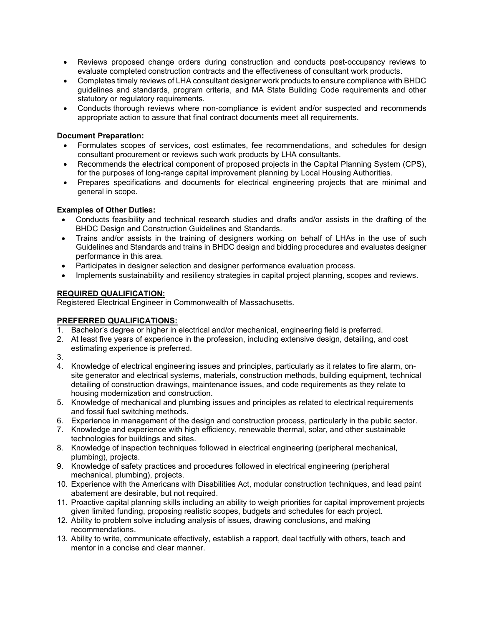- Reviews proposed change orders during construction and conducts post-occupancy reviews to evaluate completed construction contracts and the effectiveness of consultant work products.
- Completes timely reviews of LHA consultant designer work products to ensure compliance with BHDC guidelines and standards, program criteria, and MA State Building Code requirements and other statutory or regulatory requirements.
- Conducts thorough reviews where non-compliance is evident and/or suspected and recommends appropriate action to assure that final contract documents meet all requirements.

## Document Preparation:

- Formulates scopes of services, cost estimates, fee recommendations, and schedules for design consultant procurement or reviews such work products by LHA consultants.
- Recommends the electrical component of proposed projects in the Capital Planning System (CPS), for the purposes of long-range capital improvement planning by Local Housing Authorities.
- Prepares specifications and documents for electrical engineering projects that are minimal and general in scope.

## Examples of Other Duties:

- Conducts feasibility and technical research studies and drafts and/or assists in the drafting of the BHDC Design and Construction Guidelines and Standards.
- Trains and/or assists in the training of designers working on behalf of LHAs in the use of such Guidelines and Standards and trains in BHDC design and bidding procedures and evaluates designer performance in this area.
- Participates in designer selection and designer performance evaluation process.
- Implements sustainability and resiliency strategies in capital project planning, scopes and reviews.

## REQUIRED QUALIFICATION:

Registered Electrical Engineer in Commonwealth of Massachusetts.

# PREFERRED QUALIFICATIONS:

- 1. Bachelor's degree or higher in electrical and/or mechanical, engineering field is preferred.
- 2. At least five years of experience in the profession, including extensive design, detailing, and cost estimating experience is preferred.

3.

- 4. Knowledge of electrical engineering issues and principles, particularly as it relates to fire alarm, onsite generator and electrical systems, materials, construction methods, building equipment, technical detailing of construction drawings, maintenance issues, and code requirements as they relate to housing modernization and construction.
- 5. Knowledge of mechanical and plumbing issues and principles as related to electrical requirements and fossil fuel switching methods.
- 6. Experience in management of the design and construction process, particularly in the public sector.
- 7. Knowledge and experience with high efficiency, renewable thermal, solar, and other sustainable technologies for buildings and sites.
- 8. Knowledge of inspection techniques followed in electrical engineering (peripheral mechanical, plumbing), projects.
- 9. Knowledge of safety practices and procedures followed in electrical engineering (peripheral mechanical, plumbing), projects.
- 10. Experience with the Americans with Disabilities Act, modular construction techniques, and lead paint abatement are desirable, but not required.
- 11. Proactive capital planning skills including an ability to weigh priorities for capital improvement projects given limited funding, proposing realistic scopes, budgets and schedules for each project.
- 12. Ability to problem solve including analysis of issues, drawing conclusions, and making recommendations.
- 13. Ability to write, communicate effectively, establish a rapport, deal tactfully with others, teach and mentor in a concise and clear manner.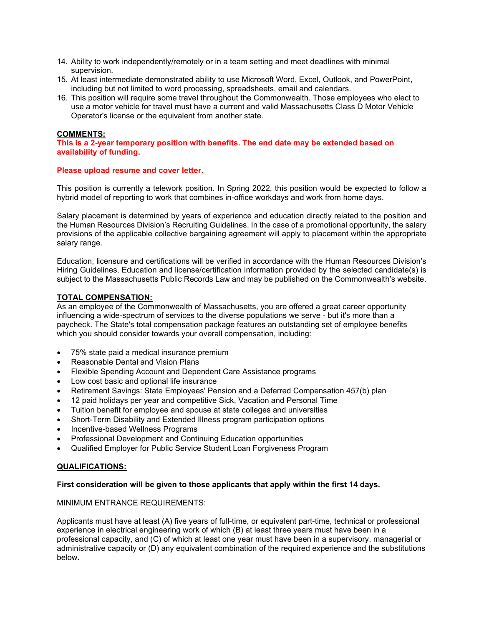- 14. Ability to work independently/remotely or in a team setting and meet deadlines with minimal supervision.
- 15. At least intermediate demonstrated ability to use Microsoft Word, Excel, Outlook, and PowerPoint, including but not limited to word processing, spreadsheets, email and calendars.
- 16. This position will require some travel throughout the Commonwealth. Those employees who elect to use a motor vehicle for travel must have a current and valid Massachusetts Class D Motor Vehicle Operator's license or the equivalent from another state.

## COMMENTS:

This is a 2-year temporary position with benefits. The end date may be extended based on availability of funding.

#### Please upload resume and cover letter.

This position is currently a telework position. In Spring 2022, this position would be expected to follow a hybrid model of reporting to work that combines in-office workdays and work from home days.

Salary placement is determined by years of experience and education directly related to the position and the Human Resources Division's Recruiting Guidelines. In the case of a promotional opportunity, the salary provisions of the applicable collective bargaining agreement will apply to placement within the appropriate salary range.

Education, licensure and certifications will be verified in accordance with the Human Resources Division's Hiring Guidelines. Education and license/certification information provided by the selected candidate(s) is subject to the Massachusetts Public Records Law and may be published on the Commonwealth's website.

## TOTAL COMPENSATION:

As an employee of the Commonwealth of Massachusetts, you are offered a great career opportunity influencing a wide-spectrum of services to the diverse populations we serve - but it's more than a paycheck. The State's total compensation package features an outstanding set of employee benefits which you should consider towards your overall compensation, including:

- 75% state paid a medical insurance premium
- Reasonable Dental and Vision Plans
- Flexible Spending Account and Dependent Care Assistance programs
- Low cost basic and optional life insurance
- Retirement Savings: State Employees' Pension and a Deferred Compensation 457(b) plan
- 12 paid holidays per year and competitive Sick, Vacation and Personal Time
- Tuition benefit for employee and spouse at state colleges and universities
- Short-Term Disability and Extended Illness program participation options
- Incentive-based Wellness Programs
- Professional Development and Continuing Education opportunities
- Qualified Employer for Public Service Student Loan Forgiveness Program

## QUALIFICATIONS:

## First consideration will be given to those applicants that apply within the first 14 days.

## MINIMUM ENTRANCE REQUIREMENTS:

Applicants must have at least (A) five years of full-time, or equivalent part-time, technical or professional experience in electrical engineering work of which (B) at least three years must have been in a professional capacity, and (C) of which at least one year must have been in a supervisory, managerial or administrative capacity or (D) any equivalent combination of the required experience and the substitutions below.